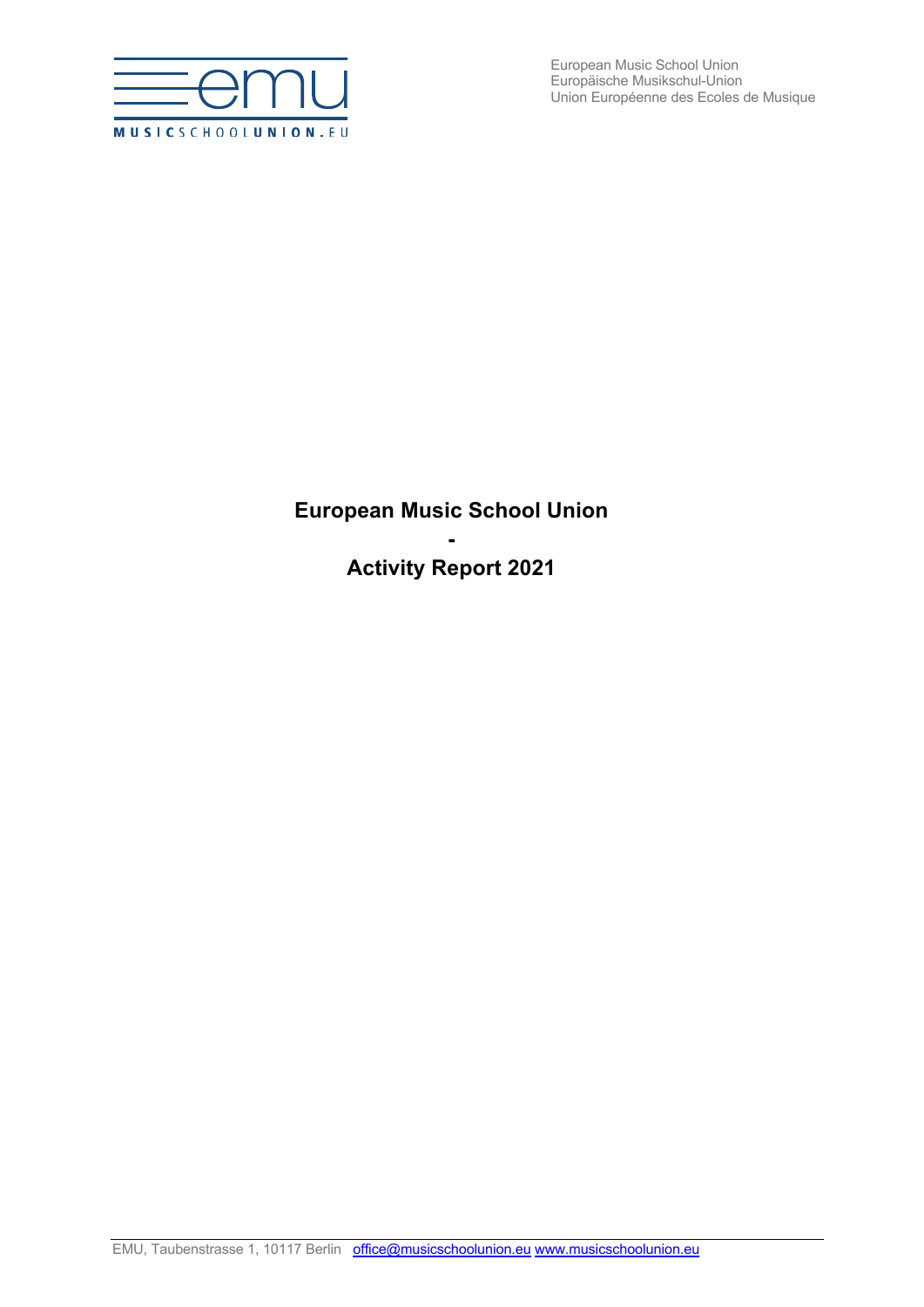

European Music School Union Europäische Musikschul-Union Union Européenne des Ecoles de Musique

# **European Music School Union**

**- Activity Report 2021**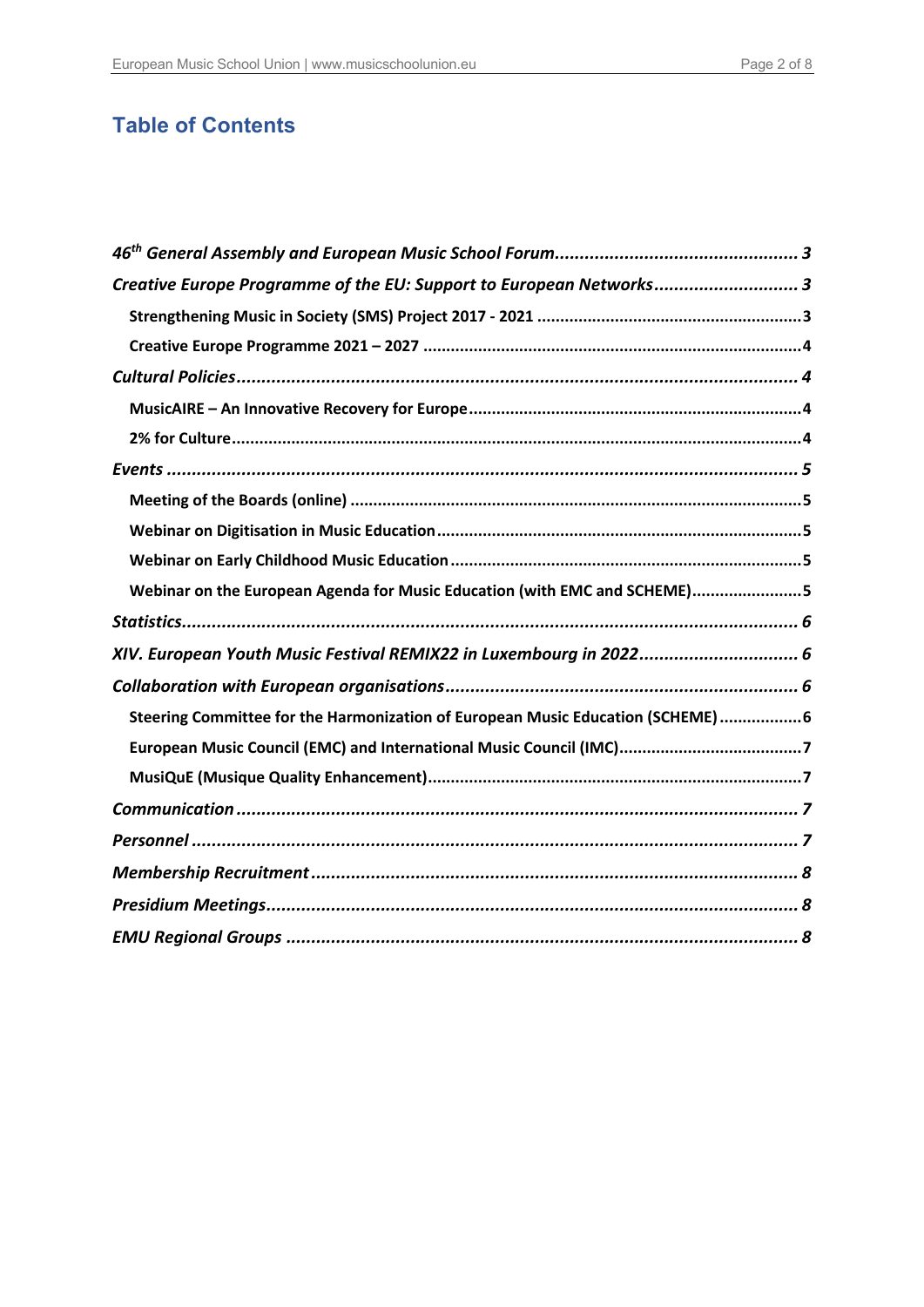# **Table of Contents**

| Creative Europe Programme of the EU: Support to European Networks 3            |
|--------------------------------------------------------------------------------|
|                                                                                |
|                                                                                |
|                                                                                |
|                                                                                |
|                                                                                |
|                                                                                |
|                                                                                |
|                                                                                |
|                                                                                |
| Webinar on the European Agenda for Music Education (with EMC and SCHEME)5      |
|                                                                                |
| XIV. European Youth Music Festival REMIX22 in Luxembourg in 2022 6             |
|                                                                                |
| Steering Committee for the Harmonization of European Music Education (SCHEME)6 |
|                                                                                |
|                                                                                |
|                                                                                |
|                                                                                |
|                                                                                |
|                                                                                |
|                                                                                |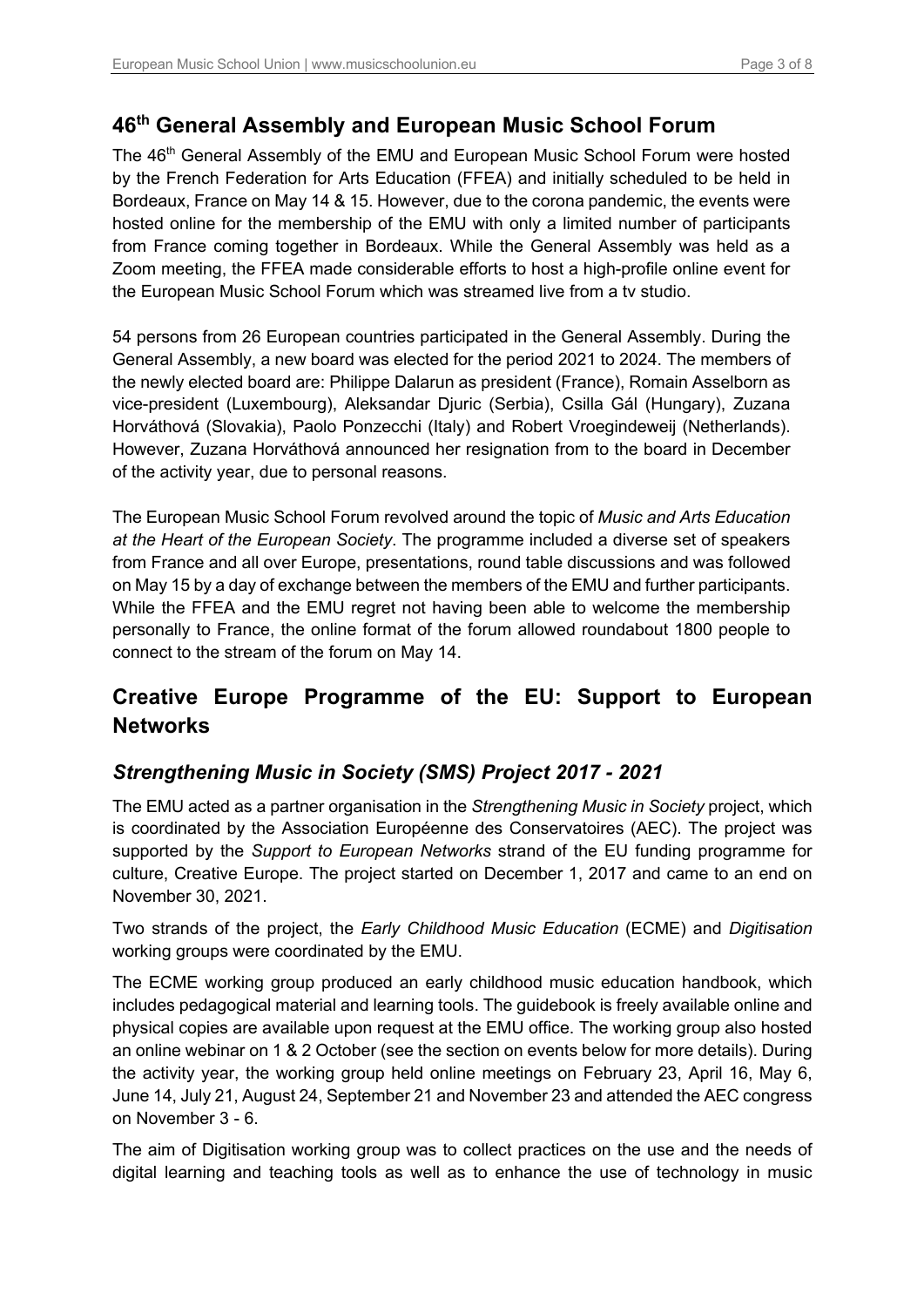### **46th General Assembly and European Music School Forum**

The 46<sup>th</sup> General Assembly of the EMU and European Music School Forum were hosted by the French Federation for Arts Education (FFEA) and initially scheduled to be held in Bordeaux, France on May 14 & 15. However, due to the corona pandemic, the events were hosted online for the membership of the EMU with only a limited number of participants from France coming together in Bordeaux. While the General Assembly was held as a Zoom meeting, the FFEA made considerable efforts to host a high-profile online event for the European Music School Forum which was streamed live from a tv studio.

54 persons from 26 European countries participated in the General Assembly. During the General Assembly, a new board was elected for the period 2021 to 2024. The members of the newly elected board are: Philippe Dalarun as president (France), Romain Asselborn as vice-president (Luxembourg), Aleksandar Djuric (Serbia), Csilla Gál (Hungary), Zuzana Horváthová (Slovakia), Paolo Ponzecchi (Italy) and Robert Vroegindeweij (Netherlands). However, Zuzana Horváthová announced her resignation from to the board in December of the activity year, due to personal reasons.

The European Music School Forum revolved around the topic of *Music and Arts Education at the Heart of the European Society*. The programme included a diverse set of speakers from France and all over Europe, presentations, round table discussions and was followed on May 15 by a day of exchange between the members of the EMU and further participants. While the FFEA and the EMU regret not having been able to welcome the membership personally to France, the online format of the forum allowed roundabout 1800 people to connect to the stream of the forum on May 14.

# **Creative Europe Programme of the EU: Support to European Networks**

### *Strengthening Music in Society (SMS) Project 2017 - 2021*

The EMU acted as a partner organisation in the *Strengthening Music in Society* project, which is coordinated by the Association Européenne des Conservatoires (AEC). The project was supported by the *Support to European Networks* strand of the EU funding programme for culture, Creative Europe. The project started on December 1, 2017 and came to an end on November 30, 2021.

Two strands of the project, the *Early Childhood Music Education* (ECME) and *Digitisation* working groups were coordinated by the EMU.

The ECME working group produced an early childhood music education handbook, which includes pedagogical material and learning tools. The guidebook is freely available online and physical copies are available upon request at the EMU office. The working group also hosted an online webinar on 1 & 2 October (see the section on events below for more details). During the activity year, the working group held online meetings on February 23, April 16, May 6, June 14, July 21, August 24, September 21 and November 23 and attended the AEC congress on November 3 - 6.

The aim of Digitisation working group was to collect practices on the use and the needs of digital learning and teaching tools as well as to enhance the use of technology in music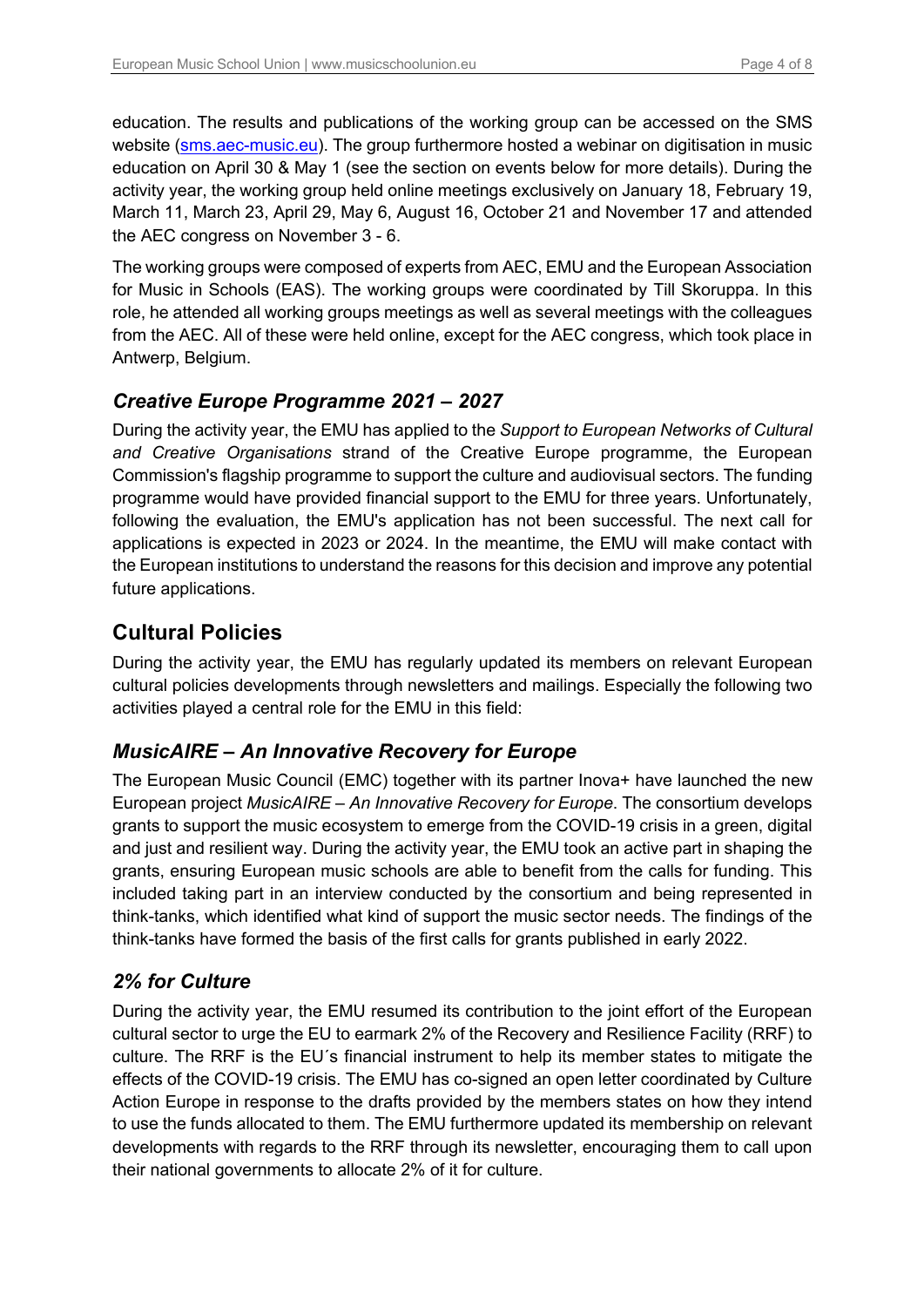education. The results and publications of the working group can be accessed on the SMS website (sms.aec-music.eu). The group furthermore hosted a webinar on digitisation in music education on April 30 & May 1 (see the section on events below for more details). During the activity year, the working group held online meetings exclusively on January 18, February 19, March 11, March 23, April 29, May 6, August 16, October 21 and November 17 and attended the AEC congress on November 3 - 6.

The working groups were composed of experts from AEC, EMU and the European Association for Music in Schools (EAS). The working groups were coordinated by Till Skoruppa. In this role, he attended all working groups meetings as well as several meetings with the colleagues from the AEC. All of these were held online, except for the AEC congress, which took place in Antwerp, Belgium.

### *Creative Europe Programme 2021 – 2027*

During the activity year, the EMU has applied to the *Support to European Networks of Cultural and Creative Organisations* strand of the Creative Europe programme, the European Commission's flagship programme to support the culture and audiovisual sectors. The funding programme would have provided financial support to the EMU for three years. Unfortunately, following the evaluation, the EMU's application has not been successful. The next call for applications is expected in 2023 or 2024. In the meantime, the EMU will make contact with the European institutions to understand the reasons for this decision and improve any potential future applications.

### **Cultural Policies**

During the activity year, the EMU has regularly updated its members on relevant European cultural policies developments through newsletters and mailings. Especially the following two activities played a central role for the EMU in this field:

### *MusicAIRE – An Innovative Recovery for Europe*

The European Music Council (EMC) together with its partner Inova+ have launched the new European project *MusicAIRE – An Innovative Recovery for Europe*. The consortium develops grants to support the music ecosystem to emerge from the COVID-19 crisis in a green, digital and just and resilient way. During the activity year, the EMU took an active part in shaping the grants, ensuring European music schools are able to benefit from the calls for funding. This included taking part in an interview conducted by the consortium and being represented in think-tanks, which identified what kind of support the music sector needs. The findings of the think-tanks have formed the basis of the first calls for grants published in early 2022.

### *2% for Culture*

During the activity year, the EMU resumed its contribution to the joint effort of the European cultural sector to urge the EU to earmark 2% of the Recovery and Resilience Facility (RRF) to culture. The RRF is the EU´s financial instrument to help its member states to mitigate the effects of the COVID-19 crisis. The EMU has co-signed an open letter coordinated by Culture Action Europe in response to the drafts provided by the members states on how they intend to use the funds allocated to them. The EMU furthermore updated its membership on relevant developments with regards to the RRF through its newsletter, encouraging them to call upon their national governments to allocate 2% of it for culture.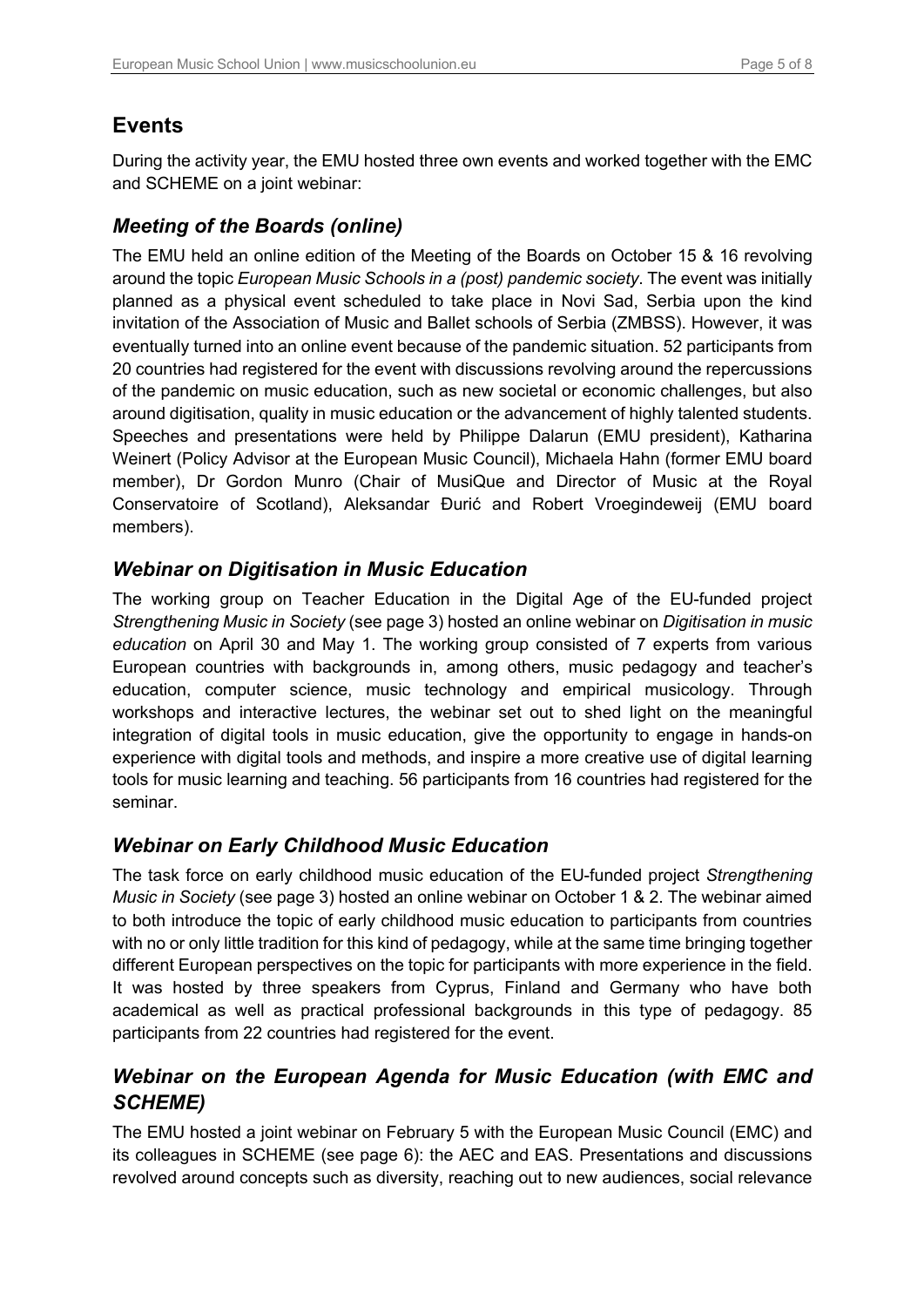# **Events**

During the activity year, the EMU hosted three own events and worked together with the EMC and SCHEME on a joint webinar:

### *Meeting of the Boards (online)*

The EMU held an online edition of the Meeting of the Boards on October 15 & 16 revolving around the topic *European Music Schools in a (post) pandemic society*. The event was initially planned as a physical event scheduled to take place in Novi Sad, Serbia upon the kind invitation of the Association of Music and Ballet schools of Serbia (ZMBSS). However, it was eventually turned into an online event because of the pandemic situation. 52 participants from 20 countries had registered for the event with discussions revolving around the repercussions of the pandemic on music education, such as new societal or economic challenges, but also around digitisation, quality in music education or the advancement of highly talented students. Speeches and presentations were held by Philippe Dalarun (EMU president), Katharina Weinert (Policy Advisor at the European Music Council), Michaela Hahn (former EMU board member), Dr Gordon Munro (Chair of MusiQue and Director of Music at the Royal Conservatoire of Scotland), Aleksandar Đurić and Robert Vroegindeweij (EMU board members).

#### *Webinar on Digitisation in Music Education*

The working group on Teacher Education in the Digital Age of the EU-funded project *Strengthening Music in Society* (see page 3) hosted an online webinar on *Digitisation in music education* on April 30 and May 1. The working group consisted of 7 experts from various European countries with backgrounds in, among others, music pedagogy and teacher's education, computer science, music technology and empirical musicology. Through workshops and interactive lectures, the webinar set out to shed light on the meaningful integration of digital tools in music education, give the opportunity to engage in hands-on experience with digital tools and methods, and inspire a more creative use of digital learning tools for music learning and teaching. 56 participants from 16 countries had registered for the seminar.

### *Webinar on Early Childhood Music Education*

The task force on early childhood music education of the EU-funded project *Strengthening Music in Society* (see page 3) hosted an online webinar on October 1 & 2. The webinar aimed to both introduce the topic of early childhood music education to participants from countries with no or only little tradition for this kind of pedagogy, while at the same time bringing together different European perspectives on the topic for participants with more experience in the field. It was hosted by three speakers from Cyprus, Finland and Germany who have both academical as well as practical professional backgrounds in this type of pedagogy. 85 participants from 22 countries had registered for the event.

### *Webinar on the European Agenda for Music Education (with EMC and SCHEME)*

The EMU hosted a joint webinar on February 5 with the European Music Council (EMC) and its colleagues in SCHEME (see page 6): the AEC and EAS. Presentations and discussions revolved around concepts such as diversity, reaching out to new audiences, social relevance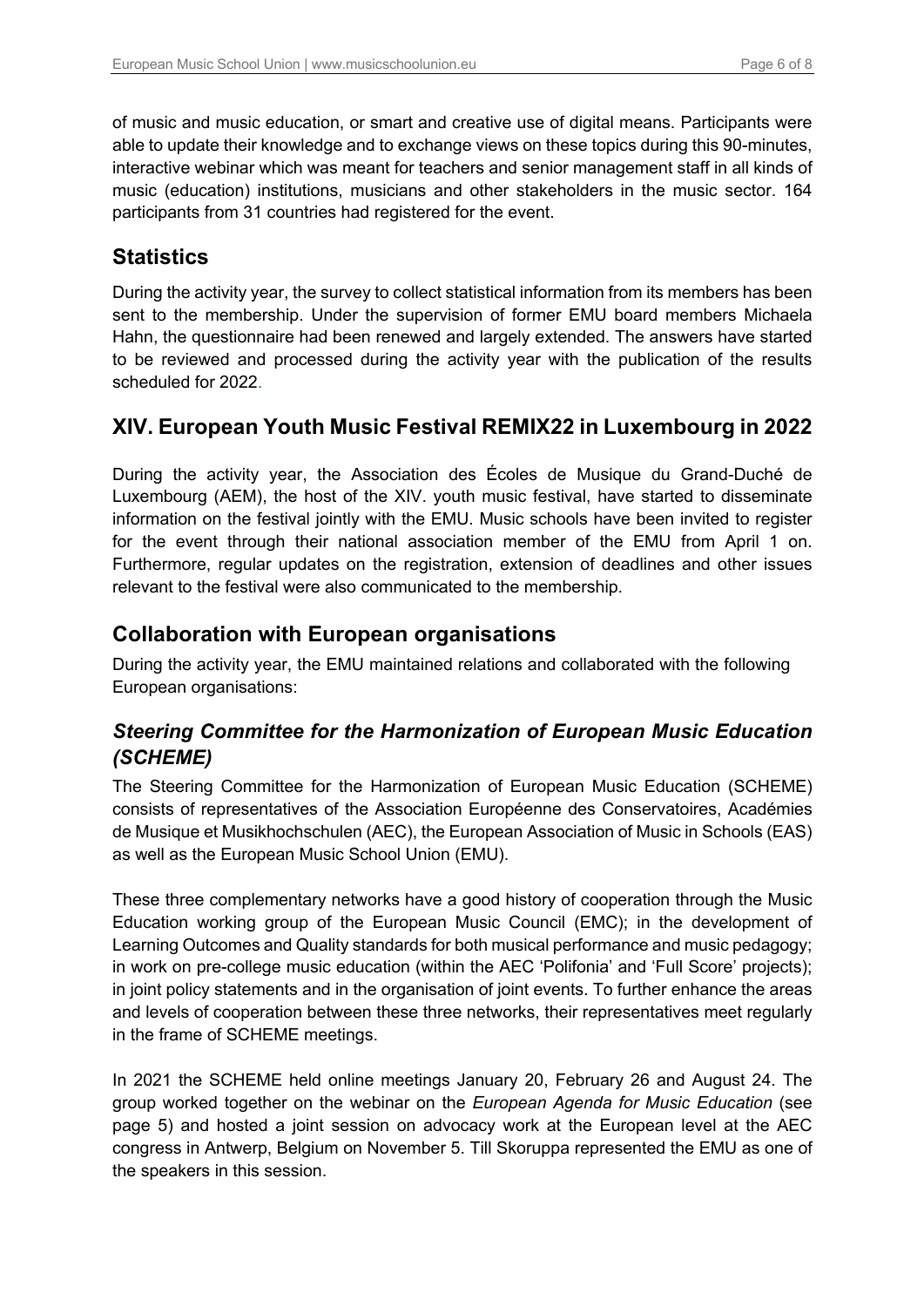of music and music education, or smart and creative use of digital means. Participants were able to update their knowledge and to exchange views on these topics during this 90-minutes, interactive webinar which was meant for teachers and senior management staff in all kinds of music (education) institutions, musicians and other stakeholders in the music sector. 164 participants from 31 countries had registered for the event.

### **Statistics**

During the activity year, the survey to collect statistical information from its members has been sent to the membership. Under the supervision of former EMU board members Michaela Hahn, the questionnaire had been renewed and largely extended. The answers have started to be reviewed and processed during the activity year with the publication of the results scheduled for 2022.

### **XIV. European Youth Music Festival REMIX22 in Luxembourg in 2022**

During the activity year, the Association des Écoles de Musique du Grand-Duché de Luxembourg (AEM), the host of the XIV. youth music festival, have started to disseminate information on the festival jointly with the EMU. Music schools have been invited to register for the event through their national association member of the EMU from April 1 on. Furthermore, regular updates on the registration, extension of deadlines and other issues relevant to the festival were also communicated to the membership.

#### **Collaboration with European organisations**

During the activity year, the EMU maintained relations and collaborated with the following European organisations:

### *Steering Committee for the Harmonization of European Music Education (SCHEME)*

The Steering Committee for the Harmonization of European Music Education (SCHEME) consists of representatives of the Association Européenne des Conservatoires, Académies de Musique et Musikhochschulen (AEC), the European Association of Music in Schools (EAS) as well as the European Music School Union (EMU).

These three complementary networks have a good history of cooperation through the Music Education working group of the European Music Council (EMC); in the development of Learning Outcomes and Quality standards for both musical performance and music pedagogy; in work on pre-college music education (within the AEC 'Polifonia' and 'Full Score' projects); in joint policy statements and in the organisation of joint events. To further enhance the areas and levels of cooperation between these three networks, their representatives meet regularly in the frame of SCHEME meetings.

In 2021 the SCHEME held online meetings January 20, February 26 and August 24. The group worked together on the webinar on the *European Agenda for Music Education* (see page 5) and hosted a joint session on advocacy work at the European level at the AEC congress in Antwerp, Belgium on November 5. Till Skoruppa represented the EMU as one of the speakers in this session.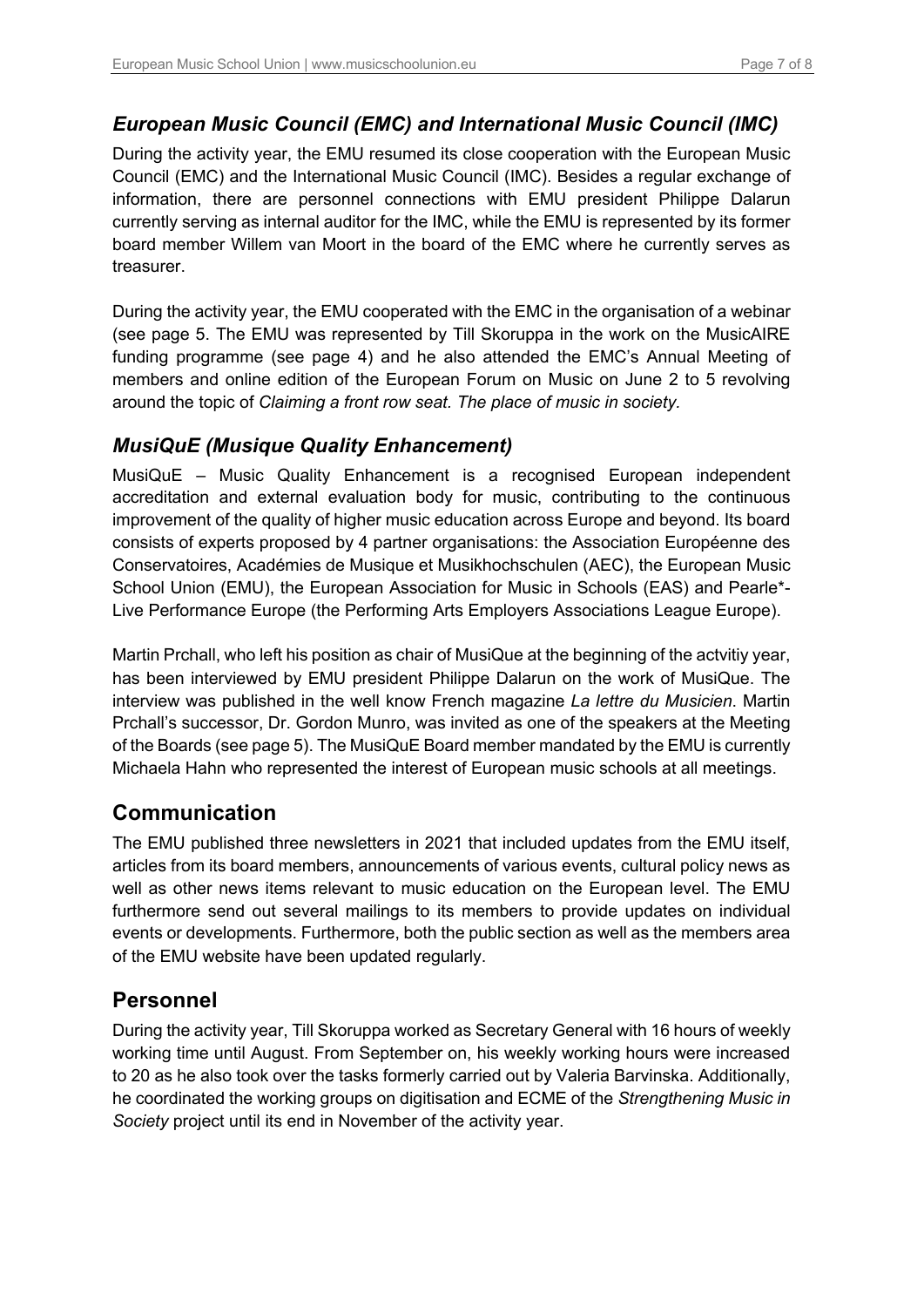### *European Music Council (EMC) and International Music Council (IMC)*

During the activity year, the EMU resumed its close cooperation with the European Music Council (EMC) and the International Music Council (IMC). Besides a regular exchange of information, there are personnel connections with EMU president Philippe Dalarun currently serving as internal auditor for the IMC, while the EMU is represented by its former board member Willem van Moort in the board of the EMC where he currently serves as treasurer.

During the activity year, the EMU cooperated with the EMC in the organisation of a webinar (see page 5. The EMU was represented by Till Skoruppa in the work on the MusicAIRE funding programme (see page 4) and he also attended the EMC's Annual Meeting of members and online edition of the European Forum on Music on June 2 to 5 revolving around the topic of *Claiming a front row seat. The place of music in society.*

#### *MusiQuE (Musique Quality Enhancement)*

MusiQuE – Music Quality Enhancement is a recognised European independent accreditation and external evaluation body for music, contributing to the continuous improvement of the quality of higher music education across Europe and beyond. Its board consists of experts proposed by 4 partner organisations: the Association Européenne des Conservatoires, Académies de Musique et Musikhochschulen (AEC), the European Music School Union (EMU), the European Association for Music in Schools (EAS) and Pearle\*- Live Performance Europe (the Performing Arts Employers Associations League Europe).

Martin Prchall, who left his position as chair of MusiQue at the beginning of the actvitiy year, has been interviewed by EMU president Philippe Dalarun on the work of MusiQue. The interview was published in the well know French magazine *La lettre du Musicien*. Martin Prchall's successor, Dr. Gordon Munro, was invited as one of the speakers at the Meeting of the Boards (see page 5). The MusiQuE Board member mandated by the EMU is currently Michaela Hahn who represented the interest of European music schools at all meetings.

### **Communication**

The EMU published three newsletters in 2021 that included updates from the EMU itself, articles from its board members, announcements of various events, cultural policy news as well as other news items relevant to music education on the European level. The EMU furthermore send out several mailings to its members to provide updates on individual events or developments. Furthermore, both the public section as well as the members area of the EMU website have been updated regularly.

### **Personnel**

During the activity year, Till Skoruppa worked as Secretary General with 16 hours of weekly working time until August. From September on, his weekly working hours were increased to 20 as he also took over the tasks formerly carried out by Valeria Barvinska. Additionally, he coordinated the working groups on digitisation and ECME of the *Strengthening Music in Society* project until its end in November of the activity year.